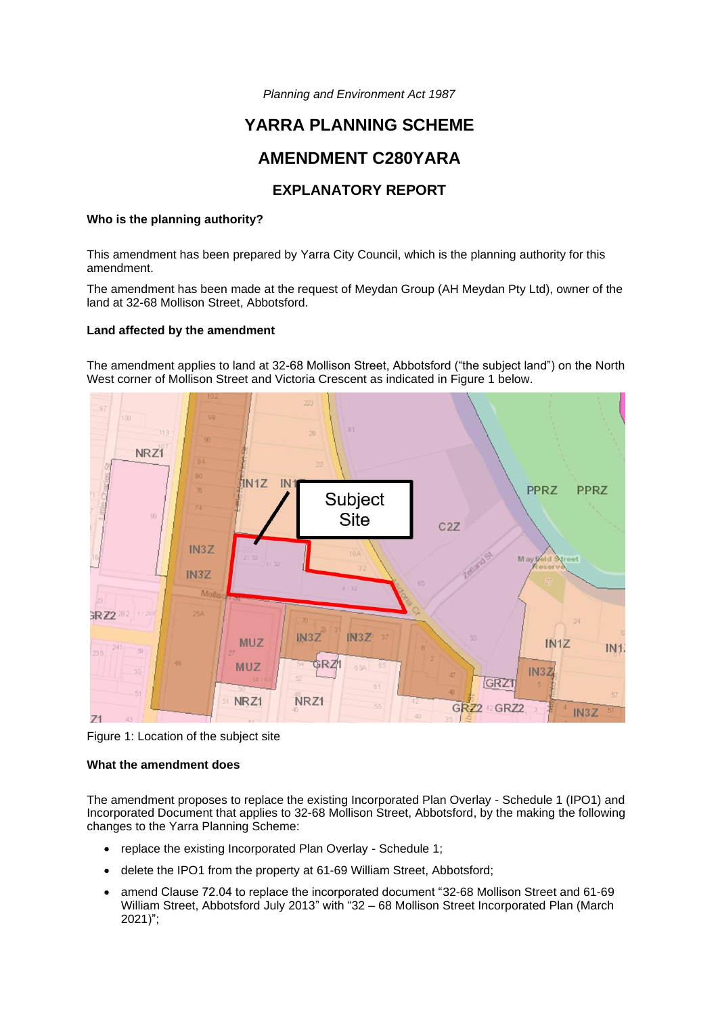*Planning and Environment Act 1987*

# **YARRA PLANNING SCHEME**

# **AMENDMENT C280YARA**

# **EXPLANATORY REPORT**

## **Who is the planning authority?**

This amendment has been prepared by Yarra City Council, which is the planning authority for this amendment.

The amendment has been made at the request of Meydan Group (AH Meydan Pty Ltd), owner of the land at 32-68 Mollison Street, Abbotsford.

## **Land affected by the amendment**

The amendment applies to land at 32-68 Mollison Street, Abbotsford ("the subject land") on the North West corner of Mollison Street and Victoria Crescent as indicated in Figure 1 below.



Figure 1: Location of the subject site

## **What the amendment does**

The amendment proposes to replace the existing Incorporated Plan Overlay - Schedule 1 (IPO1) and Incorporated Document that applies to 32-68 Mollison Street, Abbotsford, by the making the following changes to the Yarra Planning Scheme:

- replace the existing Incorporated Plan Overlay Schedule 1;
- delete the IPO1 from the property at 61-69 William Street, Abbotsford;
- amend Clause 72.04 to replace the incorporated document "32-68 Mollison Street and 61-69 William Street, Abbotsford July 2013" with "32 – 68 Mollison Street Incorporated Plan (March 2021)";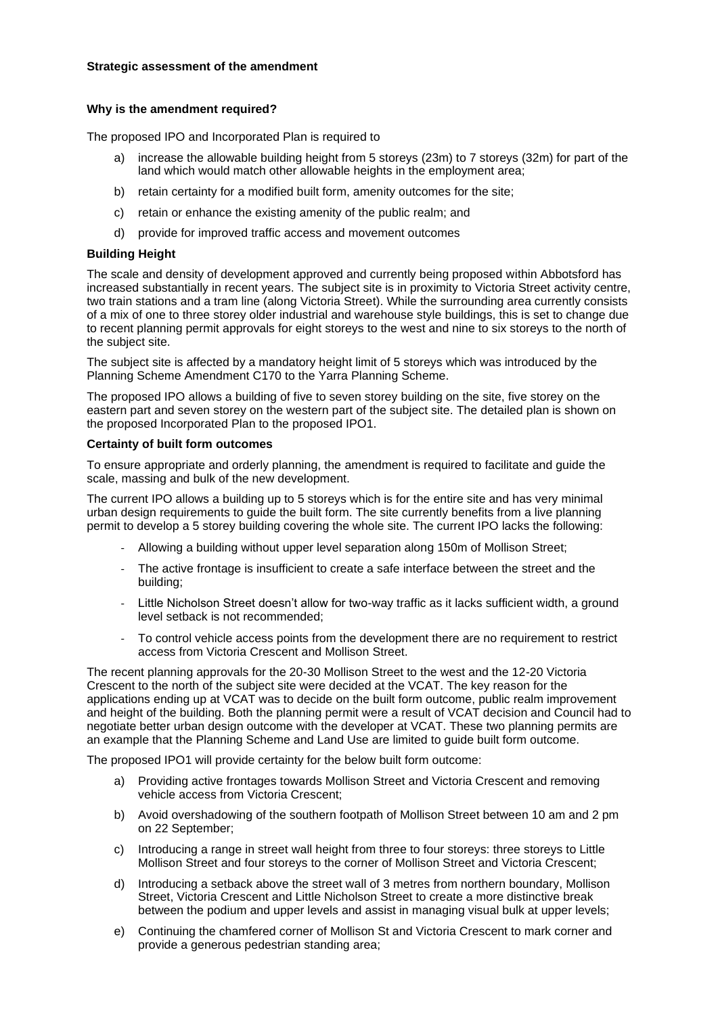# **Strategic assessment of the amendment**

# **Why is the amendment required?**

The proposed IPO and Incorporated Plan is required to

- a) increase the allowable building height from 5 storeys (23m) to 7 storeys (32m) for part of the land which would match other allowable heights in the employment area;
- b) retain certainty for a modified built form, amenity outcomes for the site;
- c) retain or enhance the existing amenity of the public realm; and
- d) provide for improved traffic access and movement outcomes

# **Building Height**

The scale and density of development approved and currently being proposed within Abbotsford has increased substantially in recent years. The subject site is in proximity to Victoria Street activity centre, two train stations and a tram line (along Victoria Street). While the surrounding area currently consists of a mix of one to three storey older industrial and warehouse style buildings, this is set to change due to recent planning permit approvals for eight storeys to the west and nine to six storeys to the north of the subject site.

The subject site is affected by a mandatory height limit of 5 storeys which was introduced by the Planning Scheme Amendment C170 to the Yarra Planning Scheme.

The proposed IPO allows a building of five to seven storey building on the site, five storey on the eastern part and seven storey on the western part of the subject site. The detailed plan is shown on the proposed Incorporated Plan to the proposed IPO1.

## **Certainty of built form outcomes**

To ensure appropriate and orderly planning, the amendment is required to facilitate and guide the scale, massing and bulk of the new development.

The current IPO allows a building up to 5 storeys which is for the entire site and has very minimal urban design requirements to guide the built form. The site currently benefits from a live planning permit to develop a 5 storey building covering the whole site. The current IPO lacks the following:

- Allowing a building without upper level separation along 150m of Mollison Street;
- The active frontage is insufficient to create a safe interface between the street and the building;
- Little Nicholson Street doesn't allow for two-way traffic as it lacks sufficient width, a ground level setback is not recommended;
- To control vehicle access points from the development there are no requirement to restrict access from Victoria Crescent and Mollison Street.

The recent planning approvals for the 20-30 Mollison Street to the west and the 12-20 Victoria Crescent to the north of the subject site were decided at the VCAT. The key reason for the applications ending up at VCAT was to decide on the built form outcome, public realm improvement and height of the building. Both the planning permit were a result of VCAT decision and Council had to negotiate better urban design outcome with the developer at VCAT. These two planning permits are an example that the Planning Scheme and Land Use are limited to guide built form outcome.

The proposed IPO1 will provide certainty for the below built form outcome:

- a) Providing active frontages towards Mollison Street and Victoria Crescent and removing vehicle access from Victoria Crescent;
- b) Avoid overshadowing of the southern footpath of Mollison Street between 10 am and 2 pm on 22 September;
- c) Introducing a range in street wall height from three to four storeys: three storeys to Little Mollison Street and four storeys to the corner of Mollison Street and Victoria Crescent;
- d) Introducing a setback above the street wall of 3 metres from northern boundary, Mollison Street, Victoria Crescent and Little Nicholson Street to create a more distinctive break between the podium and upper levels and assist in managing visual bulk at upper levels;
- e) Continuing the chamfered corner of Mollison St and Victoria Crescent to mark corner and provide a generous pedestrian standing area;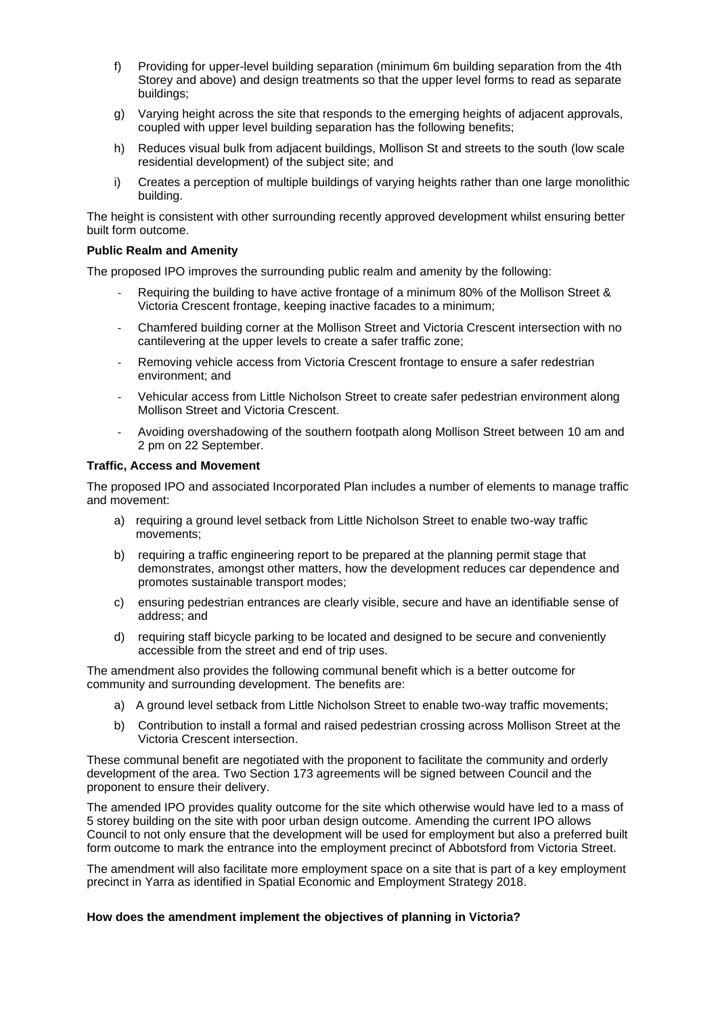- f) Providing for upper-level building separation (minimum 6m building separation from the 4th Storey and above) and design treatments so that the upper level forms to read as separate buildings;
- g) Varying height across the site that responds to the emerging heights of adjacent approvals, coupled with upper level building separation has the following benefits;
- h) Reduces visual bulk from adjacent buildings, Mollison St and streets to the south (low scale residential development) of the subject site; and
- i) Creates a perception of multiple buildings of varying heights rather than one large monolithic building.

The height is consistent with other surrounding recently approved development whilst ensuring better built form outcome.

#### **Public Realm and Amenity**

The proposed IPO improves the surrounding public realm and amenity by the following:

- Requiring the building to have active frontage of a minimum 80% of the Mollison Street & Victoria Crescent frontage, keeping inactive facades to a minimum;
- Chamfered building corner at the Mollison Street and Victoria Crescent intersection with no cantilevering at the upper levels to create a safer traffic zone;
- Removing vehicle access from Victoria Crescent frontage to ensure a safer redestrian environment; and
- Vehicular access from Little Nicholson Street to create safer pedestrian environment along Mollison Street and Victoria Crescent.
- Avoiding overshadowing of the southern footpath along Mollison Street between 10 am and 2 pm on 22 September.

#### **Traffic, Access and Movement**

The proposed IPO and associated Incorporated Plan includes a number of elements to manage traffic and movement:

- a) requiring a ground level setback from Little Nicholson Street to enable two-way traffic movements;
- b) requiring a traffic engineering report to be prepared at the planning permit stage that demonstrates, amongst other matters, how the development reduces car dependence and promotes sustainable transport modes;
- c) ensuring pedestrian entrances are clearly visible, secure and have an identifiable sense of address; and
- d) requiring staff bicycle parking to be located and designed to be secure and conveniently accessible from the street and end of trip uses.

The amendment also provides the following communal benefit which is a better outcome for community and surrounding development. The benefits are:

- a) A ground level setback from Little Nicholson Street to enable two-way traffic movements;
- b) Contribution to install a formal and raised pedestrian crossing across Mollison Street at the Victoria Crescent intersection.

These communal benefit are negotiated with the proponent to facilitate the community and orderly development of the area. Two Section 173 agreements will be signed between Council and the proponent to ensure their delivery.

The amended IPO provides quality outcome for the site which otherwise would have led to a mass of 5 storey building on the site with poor urban design outcome. Amending the current IPO allows Council to not only ensure that the development will be used for employment but also a preferred built form outcome to mark the entrance into the employment precinct of Abbotsford from Victoria Street.

The amendment will also facilitate more employment space on a site that is part of a key employment precinct in Yarra as identified in Spatial Economic and Employment Strategy 2018.

## **How does the amendment implement the objectives of planning in Victoria?**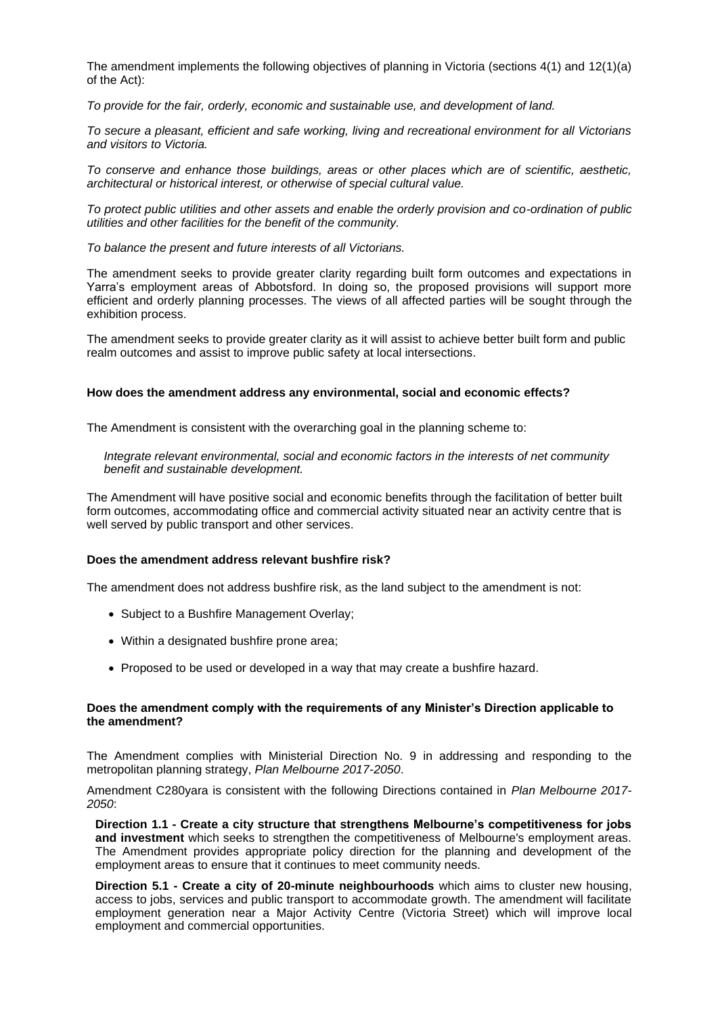The amendment implements the following objectives of planning in Victoria (sections 4(1) and 12(1)(a) of the Act):

*To provide for the fair, orderly, economic and sustainable use, and development of land.*

*To secure a pleasant, efficient and safe working, living and recreational environment for all Victorians and visitors to Victoria.* 

*To conserve and enhance those buildings, areas or other places which are of scientific, aesthetic, architectural or historical interest, or otherwise of special cultural value.* 

*To protect public utilities and other assets and enable the orderly provision and co-ordination of public utilities and other facilities for the benefit of the community.* 

*To balance the present and future interests of all Victorians.* 

The amendment seeks to provide greater clarity regarding built form outcomes and expectations in Yarra's employment areas of Abbotsford. In doing so, the proposed provisions will support more efficient and orderly planning processes. The views of all affected parties will be sought through the exhibition process.

The amendment seeks to provide greater clarity as it will assist to achieve better built form and public realm outcomes and assist to improve public safety at local intersections.

#### **How does the amendment address any environmental, social and economic effects?**

The Amendment is consistent with the overarching goal in the planning scheme to:

*Integrate relevant environmental, social and economic factors in the interests of net community benefit and sustainable development.*

The Amendment will have positive social and economic benefits through the facilitation of better built form outcomes, accommodating office and commercial activity situated near an activity centre that is well served by public transport and other services.

# **Does the amendment address relevant bushfire risk?**

The amendment does not address bushfire risk, as the land subject to the amendment is not:

- Subject to a Bushfire Management Overlay;
- Within a designated bushfire prone area;
- Proposed to be used or developed in a way that may create a bushfire hazard.

#### **Does the amendment comply with the requirements of any Minister's Direction applicable to the amendment?**

The Amendment complies with Ministerial Direction No. 9 in addressing and responding to the metropolitan planning strategy, *Plan Melbourne 2017-2050*.

Amendment C280yara is consistent with the following Directions contained in *Plan Melbourne 2017- 2050*:

**Direction 1.1 - Create a city structure that strengthens Melbourne's competitiveness for jobs and investment** which seeks to strengthen the competitiveness of Melbourne's employment areas. The Amendment provides appropriate policy direction for the planning and development of the employment areas to ensure that it continues to meet community needs.

**Direction 5.1 - Create a city of 20-minute neighbourhoods** which aims to cluster new housing, access to jobs, services and public transport to accommodate growth. The amendment will facilitate employment generation near a Major Activity Centre (Victoria Street) which will improve local employment and commercial opportunities.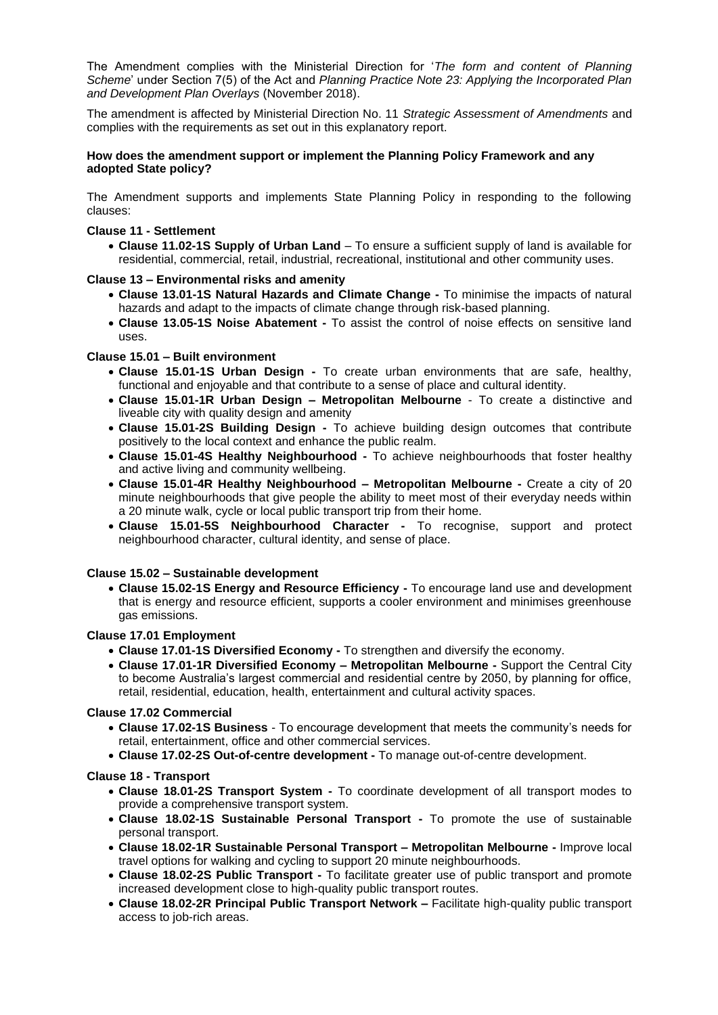The Amendment complies with the Ministerial Direction for '*The form and content of Planning Scheme*' under Section 7(5) of the Act and *Planning Practice Note 23: Applying the Incorporated Plan and Development Plan Overlays* (November 2018).

The amendment is affected by Ministerial Direction No. 11 *Strategic Assessment of Amendments* and complies with the requirements as set out in this explanatory report.

# **How does the amendment support or implement the Planning Policy Framework and any adopted State policy?**

The Amendment supports and implements State Planning Policy in responding to the following clauses:

# **Clause 11 - Settlement**

• **Clause 11.02-1S Supply of Urban Land** – To ensure a sufficient supply of land is available for residential, commercial, retail, industrial, recreational, institutional and other community uses.

# **Clause 13 – Environmental risks and amenity**

- **Clause 13.01-1S Natural Hazards and Climate Change -** To minimise the impacts of natural hazards and adapt to the impacts of climate change through risk-based planning.
- **Clause 13.05-1S Noise Abatement -** To assist the control of noise effects on sensitive land uses.

# **Clause 15.01 – Built environment**

- **Clause 15.01-1S Urban Design -** To create urban environments that are safe, healthy, functional and enjoyable and that contribute to a sense of place and cultural identity.
- **Clause 15.01-1R Urban Design – Metropolitan Melbourne** To create a distinctive and liveable city with quality design and amenity
- **Clause 15.01-2S Building Design -** To achieve building design outcomes that contribute positively to the local context and enhance the public realm.
- **Clause 15.01-4S Healthy Neighbourhood -** To achieve neighbourhoods that foster healthy and active living and community wellbeing.
- **Clause 15.01-4R Healthy Neighbourhood – Metropolitan Melbourne -** Create a city of 20 minute neighbourhoods that give people the ability to meet most of their everyday needs within a 20 minute walk, cycle or local public transport trip from their home.
- **Clause 15.01-5S Neighbourhood Character -** To recognise, support and protect neighbourhood character, cultural identity, and sense of place.

# **Clause 15.02 – Sustainable development**

• **Clause 15.02-1S Energy and Resource Efficiency -** To encourage land use and development that is energy and resource efficient, supports a cooler environment and minimises greenhouse gas emissions.

## **Clause 17.01 Employment**

- **Clause 17.01-1S Diversified Economy -** To strengthen and diversify the economy.
- **Clause 17.01-1R Diversified Economy – Metropolitan Melbourne -** Support the Central City to become Australia's largest commercial and residential centre by 2050, by planning for office, retail, residential, education, health, entertainment and cultural activity spaces.

# **Clause 17.02 Commercial**

- **Clause 17.02-1S Business** To encourage development that meets the community's needs for retail, entertainment, office and other commercial services.
- **Clause 17.02-2S Out-of-centre development -** To manage out-of-centre development.

# **Clause 18 - Transport**

- **Clause 18.01-2S Transport System -** To coordinate development of all transport modes to provide a comprehensive transport system.
- **Clause 18.02-1S Sustainable Personal Transport -** To promote the use of sustainable personal transport.
- **Clause 18.02-1R Sustainable Personal Transport – Metropolitan Melbourne -** Improve local travel options for walking and cycling to support 20 minute neighbourhoods.
- **Clause 18.02-2S Public Transport -** To facilitate greater use of public transport and promote increased development close to high-quality public transport routes.
- **Clause 18.02-2R Principal Public Transport Network –** Facilitate high-quality public transport access to job-rich areas.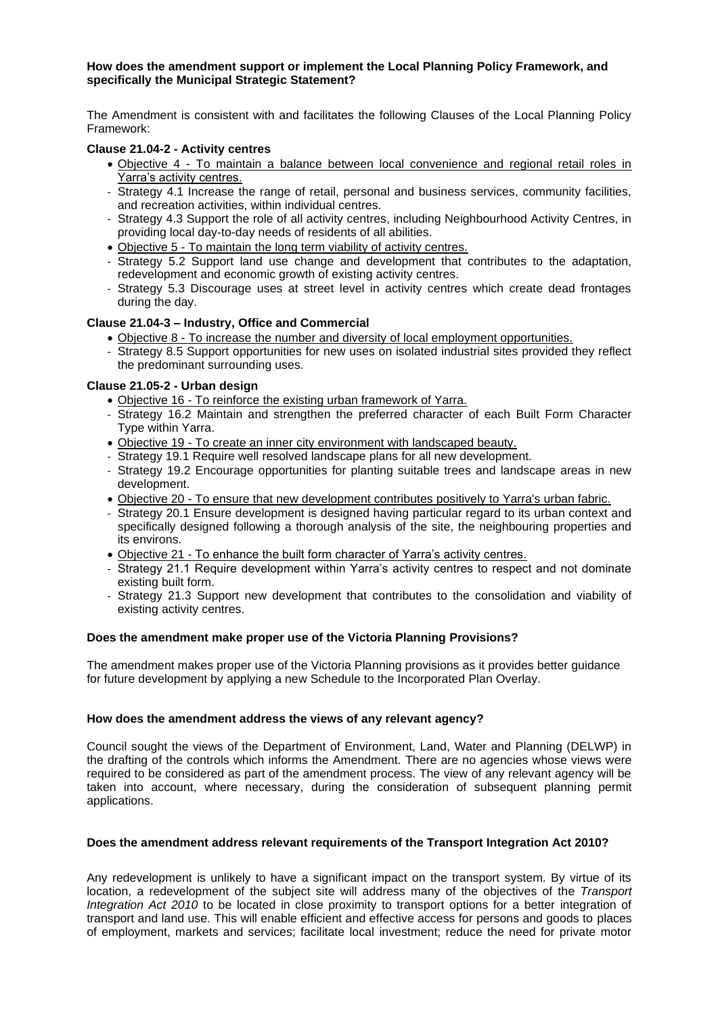## **How does the amendment support or implement the Local Planning Policy Framework, and specifically the Municipal Strategic Statement?**

The Amendment is consistent with and facilitates the following Clauses of the Local Planning Policy Framework:

# **Clause 21.04-2 - Activity centres**

- Objective 4 To maintain a balance between local convenience and regional retail roles in Yarra's activity centres.
- Strategy 4.1 Increase the range of retail, personal and business services, community facilities, and recreation activities, within individual centres.
- Strategy 4.3 Support the role of all activity centres, including Neighbourhood Activity Centres, in providing local day-to-day needs of residents of all abilities.
- Objective 5 To maintain the long term viability of activity centres.
- Strategy 5.2 Support land use change and development that contributes to the adaptation, redevelopment and economic growth of existing activity centres.
- Strategy 5.3 Discourage uses at street level in activity centres which create dead frontages during the day.

# **Clause 21.04-3 – Industry, Office and Commercial**

- Objective 8 To increase the number and diversity of local employment opportunities.
- Strategy 8.5 Support opportunities for new uses on isolated industrial sites provided they reflect the predominant surrounding uses.

# **Clause 21.05-2 - Urban design**

- Objective 16 To reinforce the existing urban framework of Yarra.
- Strategy 16.2 Maintain and strengthen the preferred character of each Built Form Character Type within Yarra.
- Objective 19 To create an inner city environment with landscaped beauty.
- Strategy 19.1 Require well resolved landscape plans for all new development.
- Strategy 19.2 Encourage opportunities for planting suitable trees and landscape areas in new development.
- Objective 20 To ensure that new development contributes positively to Yarra's urban fabric.
- Strategy 20.1 Ensure development is designed having particular regard to its urban context and specifically designed following a thorough analysis of the site, the neighbouring properties and its environs.
- Objective 21 To enhance the built form character of Yarra's activity centres.
- Strategy 21.1 Require development within Yarra's activity centres to respect and not dominate existing built form.
- Strategy 21.3 Support new development that contributes to the consolidation and viability of existing activity centres.

## **Does the amendment make proper use of the Victoria Planning Provisions?**

The amendment makes proper use of the Victoria Planning provisions as it provides better guidance for future development by applying a new Schedule to the Incorporated Plan Overlay.

# **How does the amendment address the views of any relevant agency?**

Council sought the views of the Department of Environment, Land, Water and Planning (DELWP) in the drafting of the controls which informs the Amendment. There are no agencies whose views were required to be considered as part of the amendment process. The view of any relevant agency will be taken into account, where necessary, during the consideration of subsequent planning permit applications.

## **Does the amendment address relevant requirements of the Transport Integration Act 2010?**

Any redevelopment is unlikely to have a significant impact on the transport system. By virtue of its location, a redevelopment of the subject site will address many of the objectives of the *Transport Integration Act 2010* to be located in close proximity to transport options for a better integration of transport and land use. This will enable efficient and effective access for persons and goods to places of employment, markets and services; facilitate local investment; reduce the need for private motor